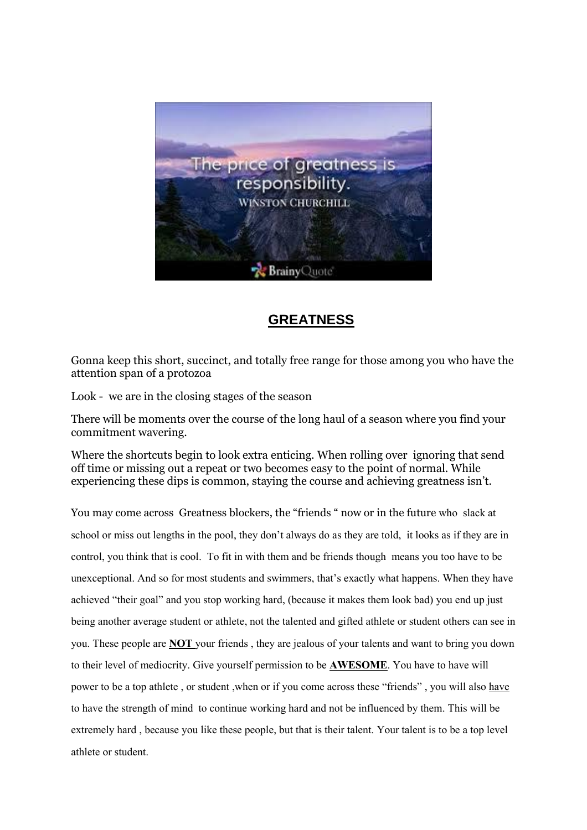

# **GREATNESS**

Gonna keep this short, succinct, and totally free range for those among you who have the attention span of a protozoa

Look - we are in the closing stages of the season

There will be moments over the course of the long haul of a season where you find your commitment wavering.

Where the shortcuts begin to look extra enticing. When rolling over ignoring that send off time or missing out a repeat or two becomes easy to the point of normal. While experiencing these dips is common, staying the course and achieving greatness isn't.

You may come across Greatness blockers, the "friends " now or in the future who slack at school or miss out lengths in the pool, they don't always do as they are told, it looks as if they are in control, you think that is cool. To fit in with them and be friends though means you too have to be unexceptional. And so for most students and swimmers, that's exactly what happens. When they have achieved "their goal" and you stop working hard, (because it makes them look bad) you end up just being another average student or athlete, not the talented and gifted athlete or student others can see in you. These people are **NOT** your friends , they are jealous of your talents and want to bring you down to their level of mediocrity. Give yourself permission to be **AWESOME**. You have to have will power to be a top athlete , or student ,when or if you come across these "friends" , you will also have to have the strength of mind to continue working hard and not be influenced by them. This will be extremely hard , because you like these people, but that is their talent. Your talent is to be a top level athlete or student.